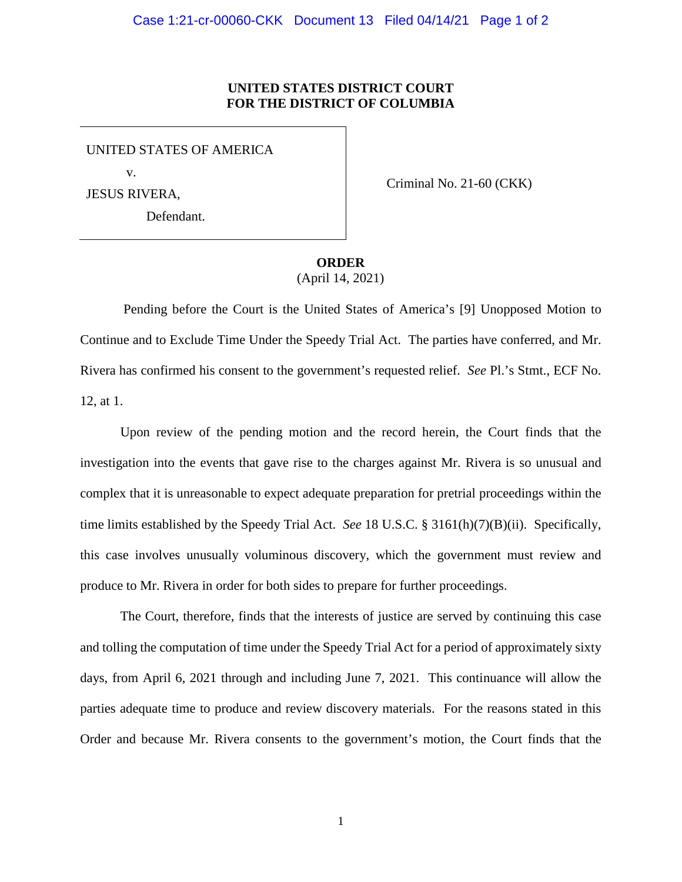## **UNITED STATES DISTRICT COURT FOR THE DISTRICT OF COLUMBIA**

UNITED STATES OF AMERICA v.

Defendant.

JESUS RIVERA,

Criminal No. 21-60 (CKK)

## **ORDER**

(April 14, 2021)

Pending before the Court is the United States of America's [9] Unopposed Motion to Continue and to Exclude Time Under the Speedy Trial Act. The parties have conferred, and Mr. Rivera has confirmed his consent to the government's requested relief. *See* Pl.'s Stmt., ECF No. 12, at 1.

Upon review of the pending motion and the record herein, the Court finds that the investigation into the events that gave rise to the charges against Mr. Rivera is so unusual and complex that it is unreasonable to expect adequate preparation for pretrial proceedings within the time limits established by the Speedy Trial Act. *See* 18 U.S.C. § 3161(h)(7)(B)(ii). Specifically, this case involves unusually voluminous discovery, which the government must review and produce to Mr. Rivera in order for both sides to prepare for further proceedings.

The Court, therefore, finds that the interests of justice are served by continuing this case and tolling the computation of time under the Speedy Trial Act for a period of approximately sixty days, from April 6, 2021 through and including June 7, 2021. This continuance will allow the parties adequate time to produce and review discovery materials. For the reasons stated in this Order and because Mr. Rivera consents to the government's motion, the Court finds that the